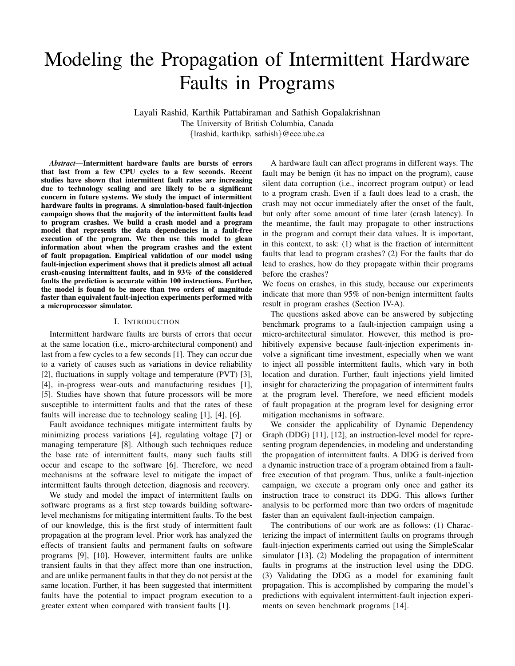# Modeling the Propagation of Intermittent Hardware Faults in Programs

Layali Rashid, Karthik Pattabiraman and Sathish Gopalakrishnan The University of British Columbia, Canada {lrashid, karthikp, sathish}@ece.ubc.ca

*Abstract*—Intermittent hardware faults are bursts of errors that last from a few CPU cycles to a few seconds. Recent studies have shown that intermittent fault rates are increasing due to technology scaling and are likely to be a significant concern in future systems. We study the impact of intermittent hardware faults in programs. A simulation-based fault-injection campaign shows that the majority of the intermittent faults lead to program crashes. We build a crash model and a program model that represents the data dependencies in a fault-free execution of the program. We then use this model to glean information about when the program crashes and the extent of fault propagation. Empirical validation of our model using fault-injection experiment shows that it predicts almost all actual crash-causing intermittent faults, and in 93% of the considered faults the prediction is accurate within 100 instructions. Further, the model is found to be more than two orders of magnitude faster than equivalent fault-injection experiments performed with a microprocessor simulator.

#### I. INTRODUCTION

Intermittent hardware faults are bursts of errors that occur at the same location (i.e., micro-architectural component) and last from a few cycles to a few seconds [1]. They can occur due to a variety of causes such as variations in device reliability [2], fluctuations in supply voltage and temperature (PVT) [3], [4], in-progress wear-outs and manufacturing residues [1], [5]. Studies have shown that future processors will be more susceptible to intermittent faults and that the rates of these faults will increase due to technology scaling [1], [4], [6].

Fault avoidance techniques mitigate intermittent faults by minimizing process variations [4], regulating voltage [7] or managing temperature [8]. Although such techniques reduce the base rate of intermittent faults, many such faults still occur and escape to the software [6]. Therefore, we need mechanisms at the software level to mitigate the impact of intermittent faults through detection, diagnosis and recovery.

We study and model the impact of intermittent faults on software programs as a first step towards building softwarelevel mechanisms for mitigating intermittent faults. To the best of our knowledge, this is the first study of intermittent fault propagation at the program level. Prior work has analyzed the effects of transient faults and permanent faults on software programs [9], [10]. However, intermittent faults are unlike transient faults in that they affect more than one instruction, and are unlike permanent faults in that they do not persist at the same location. Further, it has been suggested that intermittent faults have the potential to impact program execution to a greater extent when compared with transient faults [1].

A hardware fault can affect programs in different ways. The fault may be benign (it has no impact on the program), cause silent data corruption (i.e., incorrect program output) or lead to a program crash. Even if a fault does lead to a crash, the crash may not occur immediately after the onset of the fault, but only after some amount of time later (crash latency). In the meantime, the fault may propagate to other instructions in the program and corrupt their data values. It is important, in this context, to ask: (1) what is the fraction of intermittent faults that lead to program crashes? (2) For the faults that do lead to crashes, how do they propagate within their programs before the crashes?

We focus on crashes, in this study, because our experiments indicate that more than 95% of non-benign intermittent faults result in program crashes (Section IV-A).

The questions asked above can be answered by subjecting benchmark programs to a fault-injection campaign using a micro-architectural simulator. However, this method is prohibitively expensive because fault-injection experiments involve a significant time investment, especially when we want to inject all possible intermittent faults, which vary in both location and duration. Further, fault injections yield limited insight for characterizing the propagation of intermittent faults at the program level. Therefore, we need efficient models of fault propagation at the program level for designing error mitigation mechanisms in software.

We consider the applicability of Dynamic Dependency Graph (DDG) [11], [12], an instruction-level model for representing program dependencies, in modeling and understanding the propagation of intermittent faults. A DDG is derived from a dynamic instruction trace of a program obtained from a faultfree execution of that program. Thus, unlike a fault-injection campaign, we execute a program only once and gather its instruction trace to construct its DDG. This allows further analysis to be performed more than two orders of magnitude faster than an equivalent fault-injection campaign.

The contributions of our work are as follows: (1) Characterizing the impact of intermittent faults on programs through fault-injection experiments carried out using the SimpleScalar simulator [13]. (2) Modeling the propagation of intermittent faults in programs at the instruction level using the DDG. (3) Validating the DDG as a model for examining fault propagation. This is accomplished by comparing the model's predictions with equivalent intermittent-fault injection experiments on seven benchmark programs [14].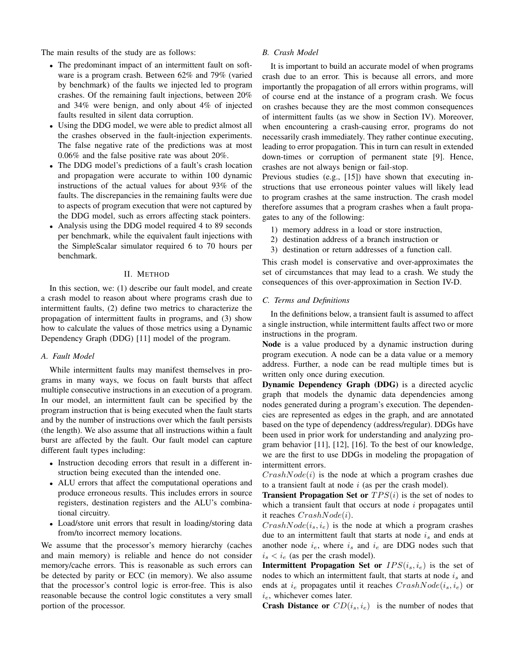The main results of the study are as follows:

- The predominant impact of an intermittent fault on software is a program crash. Between 62% and 79% (varied by benchmark) of the faults we injected led to program crashes. Of the remaining fault injections, between 20% and 34% were benign, and only about 4% of injected faults resulted in silent data corruption.
- Using the DDG model, we were able to predict almost all the crashes observed in the fault-injection experiments. The false negative rate of the predictions was at most 0.06% and the false positive rate was about 20%.
- The DDG model's predictions of a fault's crash location and propagation were accurate to within 100 dynamic instructions of the actual values for about 93% of the faults. The discrepancies in the remaining faults were due to aspects of program execution that were not captured by the DDG model, such as errors affecting stack pointers.
- Analysis using the DDG model required 4 to 89 seconds per benchmark, while the equivalent fault injections with the SimpleScalar simulator required 6 to 70 hours per benchmark.

### II. METHOD

In this section, we: (1) describe our fault model, and create a crash model to reason about where programs crash due to intermittent faults, (2) define two metrics to characterize the propagation of intermittent faults in programs, and (3) show how to calculate the values of those metrics using a Dynamic Dependency Graph (DDG) [11] model of the program.

# *A. Fault Model*

While intermittent faults may manifest themselves in programs in many ways, we focus on fault bursts that affect multiple consecutive instructions in an execution of a program. In our model, an intermittent fault can be specified by the program instruction that is being executed when the fault starts and by the number of instructions over which the fault persists (the length). We also assume that all instructions within a fault burst are affected by the fault. Our fault model can capture different fault types including:

- Instruction decoding errors that result in a different instruction being executed than the intended one.
- ALU errors that affect the computational operations and produce erroneous results. This includes errors in source registers, destination registers and the ALU's combinational circuitry.
- Load/store unit errors that result in loading/storing data from/to incorrect memory locations.

We assume that the processor's memory hierarchy (caches and main memory) is reliable and hence do not consider memory/cache errors. This is reasonable as such errors can be detected by parity or ECC (in memory). We also assume that the processor's control logic is error-free. This is also reasonable because the control logic constitutes a very small portion of the processor.

#### *B. Crash Model*

It is important to build an accurate model of when programs crash due to an error. This is because all errors, and more importantly the propagation of all errors within programs, will of course end at the instance of a program crash. We focus on crashes because they are the most common consequences of intermittent faults (as we show in Section IV). Moreover, when encountering a crash-causing error, programs do not necessarily crash immediately. They rather continue executing, leading to error propagation. This in turn can result in extended down-times or corruption of permanent state [9]. Hence, crashes are not always benign or fail-stop.

Previous studies (e.g., [15]) have shown that executing instructions that use erroneous pointer values will likely lead to program crashes at the same instruction. The crash model therefore assumes that a program crashes when a fault propagates to any of the following:

- 1) memory address in a load or store instruction,
- 2) destination address of a branch instruction or
- 3) destination or return addresses of a function call.

This crash model is conservative and over-approximates the set of circumstances that may lead to a crash. We study the consequences of this over-approximation in Section IV-D.

# *C. Terms and Definitions*

In the definitions below, a transient fault is assumed to affect a single instruction, while intermittent faults affect two or more instructions in the program.

Node is a value produced by a dynamic instruction during program execution. A node can be a data value or a memory address. Further, a node can be read multiple times but is written only once during execution.

Dynamic Dependency Graph (DDG) is a directed acyclic graph that models the dynamic data dependencies among nodes generated during a program's execution. The dependencies are represented as edges in the graph, and are annotated based on the type of dependency (address/regular). DDGs have been used in prior work for understanding and analyzing program behavior [11], [12], [16]. To the best of our knowledge, we are the first to use DDGs in modeling the propagation of intermittent errors.

 $CrashNode(i)$  is the node at which a program crashes due to a transient fault at node  $i$  (as per the crash model).

**Transient Propagation Set or**  $TPS(i)$  is the set of nodes to which a transient fault that occurs at node  $i$  propagates until it reaches  $CrashNode(i)$ .

 $CrashNode(i<sub>s</sub>, i<sub>e</sub>)$  is the node at which a program crashes due to an intermittent fault that starts at node  $i_s$  and ends at another node  $i_e$ , where  $i_s$  and  $i_e$  are DDG nodes such that  $i_s < i_e$  (as per the crash model).

**Intermittent Propagation Set or**  $IPS(i_s, i_e)$  is the set of nodes to which an intermittent fault, that starts at node  $i_s$  and ends at  $i_e$  propagates until it reaches  $CrashNode(i_s, i_e)$  or  $i_e$ , whichever comes later.

**Crash Distance or**  $CD(i_s, i_e)$  is the number of nodes that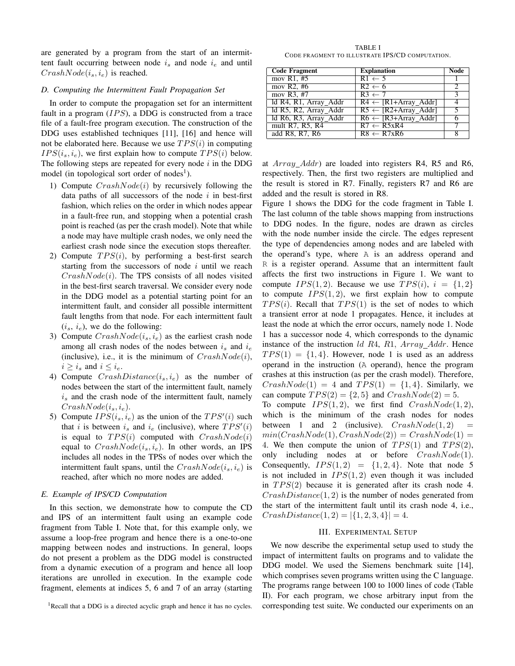are generated by a program from the start of an intermittent fault occurring between node  $i_s$  and node  $i_e$  and until  $CrashNode(i<sub>s</sub>, i<sub>e</sub>)$  is reached.

#### *D. Computing the Intermittent Fault Propagation Set*

In order to compute the propagation set for an intermittent fault in a program  $(IPS)$ , a DDG is constructed from a trace file of a fault-free program execution. The construction of the DDG uses established techniques [11], [16] and hence will not be elaborated here. Because we use  $TPS(i)$  in computing  $IPS(i_s, i_e)$ , we first explain how to compute  $TPS(i)$  below. The following steps are repeated for every node  $i$  in the DDG model (in topological sort order of nodes<sup>1</sup>).

- 1) Compute  $CrashNode(i)$  by recursively following the data paths of all successors of the node  $i$  in best-first fashion, which relies on the order in which nodes appear in a fault-free run, and stopping when a potential crash point is reached (as per the crash model). Note that while a node may have multiple crash nodes, we only need the earliest crash node since the execution stops thereafter.
- 2) Compute  $TPS(i)$ , by performing a best-first search starting from the successors of node  $i$  until we reach  $CrashNode(i)$ . The TPS consists of all nodes visited in the best-first search traversal. We consider every node in the DDG model as a potential starting point for an intermittent fault, and consider all possible intermittent fault lengths from that node. For each intermittent fault  $(i_s, i_e)$ , we do the following:
- 3) Compute  $CrashNode(i_s, i_e)$  as the earliest crash node among all crash nodes of the nodes between  $i_s$  and  $i_e$ (inclusive), i.e., it is the minimum of  $CrashNode(i)$ ,  $i \geq i_s$  and  $i \leq i_e$ .
- 4) Compute  $CrashDistance(i_s, i_e)$  as the number of nodes between the start of the intermittent fault, namely  $i<sub>s</sub>$  and the crash node of the intermittent fault, namely  $CrashNode(i_s, i_e).$
- 5) Compute  $IPS(i_s, i_e)$  as the union of the  $TPS'(i)$  such that i is between  $i_s$  and  $i_e$  (inclusive), where  $TPS'(i)$ is equal to  $TPS(i)$  computed with  $CrashNode(i)$ equal to  $CrashNode(i<sub>s</sub>, i<sub>e</sub>)$ . In other words, an IPS includes all nodes in the TPSs of nodes over which the intermittent fault spans, until the  $CrashNode(i_s, i_e)$  is reached, after which no more nodes are added.

# *E. Example of IPS/CD Computation*

In this section, we demonstrate how to compute the CD and IPS of an intermittent fault using an example code fragment from Table I. Note that, for this example only, we assume a loop-free program and hence there is a one-to-one mapping between nodes and instructions. In general, loops do not present a problem as the DDG model is constructed from a dynamic execution of a program and hence all loop iterations are unrolled in execution. In the example code fragment, elements at indices 5, 6 and 7 of an array (starting

TABLE I CODE FRAGMENT TO ILLUSTRATE IPS/CD COMPUTATION.

| <b>Code Fragment</b>  | <b>Explanation</b>              | Node |
|-----------------------|---------------------------------|------|
| mov R1, $#5$          | $R1 \leftarrow 5$               |      |
| mov R2, $#6$          | $R2 \leftarrow 6$               |      |
| mov $R3, #7$          | $R3 \leftarrow 7$               |      |
| ld R4, R1, Array_Addr | $R4 \leftarrow [R1+ArrayAddr]$  |      |
| Id R5, R2, Array_Addr | $R5 \leftarrow [R2+Array Addr]$ |      |
| Id R6, R3, Array_Addr | $R6 \leftarrow [R3+Array Addr]$ |      |
| mult R7, R5, R4       | $R7 \leftarrow R5xR4$           |      |
| add R8, R7, R6        | $R8 \leftarrow R7xR6$           |      |

at  $Array\_Addr$  are loaded into registers R4, R5 and R6, respectively. Then, the first two registers are multiplied and the result is stored in R7. Finally, registers R7 and R6 are added and the result is stored in R8.

Figure 1 shows the DDG for the code fragment in Table I. The last column of the table shows mapping from instructions to DDG nodes. In the figure, nodes are drawn as circles with the node number inside the circle. The edges represent the type of dependencies among nodes and are labeled with the operand's type, where A is an address operand and R is a register operand. Assume that an intermittent fault affects the first two instructions in Figure 1. We want to compute  $IPS(1, 2)$ . Because we use  $TPS(i)$ ,  $i = \{1, 2\}$ to compute  $IPS(1, 2)$ , we first explain how to compute  $TPS(i)$ . Recall that  $TPS(1)$  is the set of nodes to which a transient error at node 1 propagates. Hence, it includes at least the node at which the error occurs, namely node 1. Node 1 has a successor node 4, which corresponds to the dynamic instance of the instruction  $ld$  R4, R1,  $Array\_Addr$ . Hence  $TPS(1) = \{1, 4\}$ . However, node 1 is used as an address operand in the instruction (A operand), hence the program crashes at this instruction (as per the crash model). Therefore,  $CrashNode(1) = 4$  and  $TPS(1) = \{1, 4\}$ . Similarly, we can compute  $TPS(2) = \{2, 5\}$  and  $CrashNode(2) = 5$ . To compute  $IPS(1, 2)$ , we first find  $CrashNode(1, 2)$ , which is the minimum of the crash nodes for nodes between 1 and 2 (inclusive).  $CrashNode(1, 2)$  $min(CrashNode(1),CrashNode(2)) = CrashNode(1) =$ 4. We then compute the union of  $TPS(1)$  and  $TPS(2)$ , only including nodes at or before  $CrashNode(1)$ . Consequently,  $IPS(1, 2) = \{1, 2, 4\}$ . Note that node 5 is not included in  $IPS(1, 2)$  even though it was included in  $TPS(2)$  because it is generated after its crash node 4.  $CrashDistance(1, 2)$  is the number of nodes generated from the start of the intermittent fault until its crash node 4, i.e.,  $CrashDistance(1, 2) = |\{1, 2, 3, 4\}| = 4.$ 

#### III. EXPERIMENTAL SETUP

We now describe the experimental setup used to study the impact of intermittent faults on programs and to validate the DDG model. We used the Siemens benchmark suite [14], which comprises seven programs written using the C language. The programs range between 100 to 1000 lines of code (Table II). For each program, we chose arbitrary input from the corresponding test suite. We conducted our experiments on an

<sup>&</sup>lt;sup>1</sup>Recall that a DDG is a directed acyclic graph and hence it has no cycles.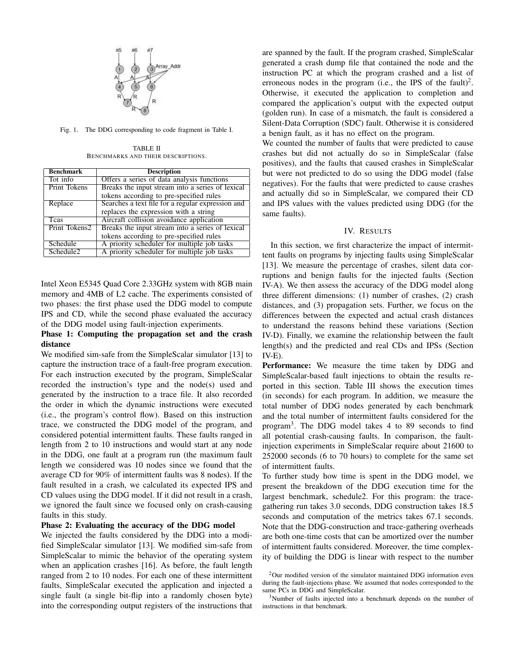

Fig. 1. The DDG corresponding to code fragment in Table I.

TABLE II BENCHMARKS AND THEIR DESCRIPTIONS.

| <b>Benchmark</b>      | <b>Description</b>                                |
|-----------------------|---------------------------------------------------|
| Tot info              | Offers a series of data analysis functions        |
| Print Tokens          | Breaks the input stream into a series of lexical  |
|                       | tokens according to pre-specified rules           |
| Replace               | Searches a text file for a regular expression and |
|                       | replaces the expression with a string             |
| Teas                  | Aircraft collision avoidance application          |
| Print Tokens2         | Breaks the input stream into a series of lexical  |
|                       | tokens according to pre-specified rules           |
| Schedule              | A priority scheduler for multiple job tasks       |
| Schedule <sub>2</sub> | A priority scheduler for multiple job tasks       |

Intel Xeon E5345 Quad Core 2.33GHz system with 8GB main memory and 4MB of L2 cache. The experiments consisted of two phases: the first phase used the DDG model to compute IPS and CD, while the second phase evaluated the accuracy of the DDG model using fault-injection experiments.

# Phase 1: Computing the propagation set and the crash distance

We modified sim-safe from the SimpleScalar simulator [13] to capture the instruction trace of a fault-free program execution. For each instruction executed by the program, SimpleScalar recorded the instruction's type and the node(s) used and generated by the instruction to a trace file. It also recorded the order in which the dynamic instructions were executed (i.e., the program's control flow). Based on this instruction trace, we constructed the DDG model of the program, and considered potential intermittent faults. These faults ranged in length from 2 to 10 instructions and would start at any node in the DDG, one fault at a program run (the maximum fault length we considered was 10 nodes since we found that the average CD for 90% of intermittent faults was 8 nodes). If the fault resulted in a crash, we calculated its expected IPS and CD values using the DDG model. If it did not result in a crash, we ignored the fault since we focused only on crash-causing faults in this study.

# Phase 2: Evaluating the accuracy of the DDG model

We injected the faults considered by the DDG into a modified SimpleScalar simulator [13]. We modified sim-safe from SimpleScalar to mimic the behavior of the operating system when an application crashes [16]. As before, the fault length ranged from 2 to 10 nodes. For each one of these intermittent faults, SimpleScalar executed the application and injected a single fault (a single bit-flip into a randomly chosen byte) into the corresponding output registers of the instructions that

are spanned by the fault. If the program crashed, SimpleScalar generated a crash dump file that contained the node and the instruction PC at which the program crashed and a list of erroneous nodes in the program (i.e., the IPS of the fault)<sup>2</sup>. Otherwise, it executed the application to completion and compared the application's output with the expected output (golden run). In case of a mismatch, the fault is considered a Silent-Data Corruption (SDC) fault. Otherwise it is considered a benign fault, as it has no effect on the program.

We counted the number of faults that were predicted to cause crashes but did not actually do so in SimpleScalar (false positives), and the faults that caused crashes in SimpleScalar but were not predicted to do so using the DDG model (false negatives). For the faults that were predicted to cause crashes and actually did so in SimpleScalar, we compared their CD and IPS values with the values predicted using DDG (for the same faults).

# IV. RESULTS

In this section, we first characterize the impact of intermittent faults on programs by injecting faults using SimpleScalar [13]. We measure the percentage of crashes, silent data corruptions and benign faults for the injected faults (Section IV-A). We then assess the accuracy of the DDG model along three different dimensions: (1) number of crashes, (2) crash distances, and (3) propagation sets. Further, we focus on the differences between the expected and actual crash distances to understand the reasons behind these variations (Section IV-D). Finally, we examine the relationship between the fault length(s) and the predicted and real CDs and IPSs (Section IV-E).

Performance: We measure the time taken by DDG and SimpleScalar-based fault injections to obtain the results reported in this section. Table III shows the execution times (in seconds) for each program. In addition, we measure the total number of DDG nodes generated by each benchmark and the total number of intermittent faults considered for the program<sup>3</sup> . The DDG model takes 4 to 89 seconds to find all potential crash-causing faults. In comparison, the faultinjection experiments in SimpleScalar require about 21600 to 252000 seconds (6 to 70 hours) to complete for the same set of intermittent faults.

To further study how time is spent in the DDG model, we present the breakdown of the DDG execution time for the largest benchmark, schedule2. For this program: the tracegathering run takes 3.0 seconds, DDG construction takes 18.5 seconds and computation of the metrics takes 67.1 seconds. Note that the DDG-construction and trace-gathering overheads are both one-time costs that can be amortized over the number of intermittent faults considered. Moreover, the time complexity of building the DDG is linear with respect to the number

 $2$ Our modified version of the simulator maintained DDG information even during the fault-injections phase. We assumed that nodes corresponded to the same PCs in DDG and SimpleScalar.

<sup>3</sup>Number of faults injected into a benchmark depends on the number of instructions in that benchmark.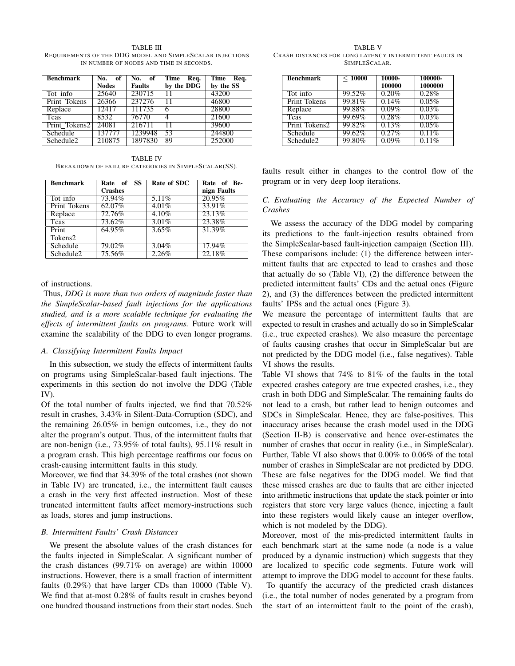Benchmark No. of **Nodes**<br>25640 No. of **Faults**<br>230715 Time Req. by the DDG Time Req. by the  $SS$ <br> $43200$ Tot info 25640 230715 11 43200 Print Tokens 26366 237276 11 46800<br>Replace 12417 111735 6 28800 Replace 12417 111735 6 28800<br>Tcas 8532 76770 4 21600 Tcas 8532 76770 4 21600 Print Tokens2 24081 216711 11 39600<br>Schedule 137777 1239948 53 244800 Schedule 137777 1239948 53 244800<br>Schedule2 210875 1897830 89 252000 Schedule2 | 210875 | 1897830 | 89

TABLE III REQUIREMENTS OF THE DDG MODEL AND SIMPLESCALAR INJECTIONS IN NUMBER OF NODES AND TIME IN SECONDS.

TABLE IV BREAKDOWN OF FAILURE CATEGORIES IN SIMPLESCALAR(SS).

| <b>Benchmark</b>      | Rate of SS<br><b>Crashes</b> | Rate of SDC | Rate of Be-<br>nign Faults |
|-----------------------|------------------------------|-------------|----------------------------|
| Tot info              | 73.94%                       | 5.11\%      | 20.95%                     |
| <b>Print Tokens</b>   | $62.07\%$                    | 4.01%       | $33.91\%$                  |
| Replace               | 72.76%                       | 4.10%       | 23.13%                     |
| <b>T</b> cas          | 73.62%                       | 3.01%       | 23.38%                     |
| Print                 | $64.95\%$                    | 3.65%       | 31.39%                     |
| Tokens2               |                              |             |                            |
| Schedule              | 79.02%                       | $3.04\%$    | 17.94%                     |
| Schedule <sub>2</sub> | 75.56%                       | 2.26%       | 22.18%                     |

#### of instructions.

Thus, *DDG is more than two orders of magnitude faster than the SimpleScalar-based fault injections for the applications studied, and is a more scalable technique for evaluating the effects of intermittent faults on programs.* Future work will examine the scalability of the DDG to even longer programs.

# *A. Classifying Intermittent Faults Impact*

In this subsection, we study the effects of intermittent faults on programs using SimpleScalar-based fault injections. The experiments in this section do not involve the DDG (Table IV).

Of the total number of faults injected, we find that 70.52% result in crashes, 3.43% in Silent-Data-Corruption (SDC), and the remaining 26.05% in benign outcomes, i.e., they do not alter the program's output. Thus, of the intermittent faults that are non-benign (i.e., 73.95% of total faults), 95.11% result in a program crash. This high percentage reaffirms our focus on crash-causing intermittent faults in this study.

Moreover, we find that 34.39% of the total crashes (not shown in Table IV) are truncated, i.e., the intermittent fault causes a crash in the very first affected instruction. Most of these truncated intermittent faults affect memory-instructions such as loads, stores and jump instructions.

## *B. Intermittent Faults' Crash Distances*

We present the absolute values of the crash distances for the faults injected in SimpleScalar. A significant number of the crash distances (99.71% on average) are within 10000 instructions. However, there is a small fraction of intermittent faults (0.29%) that have larger CDs than 10000 (Table V). We find that at-most 0.28% of faults result in crashes beyond one hundred thousand instructions from their start nodes. Such

TABLE V CRASH DISTANCES FOR LONG LATENCY INTERMITTENT FAULTS IN SIMPLESCALAR.

| <b>Benchmark</b>      | < 10000 | 10000-<br>100000 | 100000-<br>1000000 |
|-----------------------|---------|------------------|--------------------|
| Tot info              | 99.52%  | 0.20%            | 0.28%              |
| <b>Print Tokens</b>   | 99.81%  | 0.14%            | 0.05%              |
| Replace               | 99.88%  | 0.09%            | 0.03%              |
| Teas                  | 99.69%  | 0.28%            | 0.03%              |
| Print Tokens2         | 99.82%  | 0.13%            | 0.05%              |
| Schedule              | 99.62%  | 0.27%            | 0.11%              |
| Schedule <sub>2</sub> | 99.80%  | 0.09%            | 0.11%              |

faults result either in changes to the control flow of the program or in very deep loop iterations.

# *C. Evaluating the Accuracy of the Expected Number of Crashes*

We assess the accuracy of the DDG model by comparing its predictions to the fault-injection results obtained from the SimpleScalar-based fault-injection campaign (Section III). These comparisons include: (1) the difference between intermittent faults that are expected to lead to crashes and those that actually do so (Table VI), (2) the difference between the predicted intermittent faults' CDs and the actual ones (Figure 2), and (3) the differences between the predicted intermittent faults' IPSs and the actual ones (Figure 3).

We measure the percentage of intermittent faults that are expected to result in crashes and actually do so in SimpleScalar (i.e., true expected crashes). We also measure the percentage of faults causing crashes that occur in SimpleScalar but are not predicted by the DDG model (i.e., false negatives). Table VI shows the results.

Table VI shows that 74% to 81% of the faults in the total expected crashes category are true expected crashes, i.e., they crash in both DDG and SimpleScalar. The remaining faults do not lead to a crash, but rather lead to benign outcomes and SDCs in SimpleScalar. Hence, they are false-positives. This inaccuracy arises because the crash model used in the DDG (Section II-B) is conservative and hence over-estimates the number of crashes that occur in reality (i.e., in SimpleScalar). Further, Table VI also shows that 0.00% to 0.06% of the total number of crashes in SimpleScalar are not predicted by DDG. These are false negatives for the DDG model. We find that these missed crashes are due to faults that are either injected into arithmetic instructions that update the stack pointer or into registers that store very large values (hence, injecting a fault into these registers would likely cause an integer overflow, which is not modeled by the DDG).

Moreover, most of the mis-predicted intermittent faults in each benchmark start at the same node (a node is a value produced by a dynamic instruction) which suggests that they are localized to specific code segments. Future work will attempt to improve the DDG model to account for these faults.

To quantify the accuracy of the predicted crash distances (i.e., the total number of nodes generated by a program from the start of an intermittent fault to the point of the crash),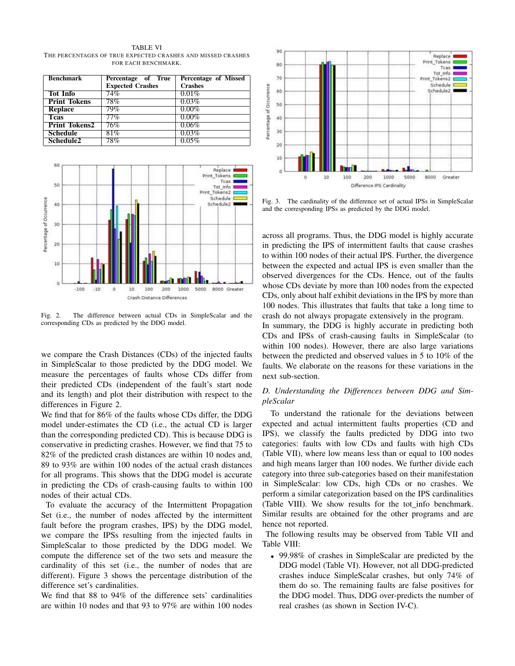TABLE VI THE PERCENTAGES OF TRUE EXPECTED CRASHES AND MISSED CRASHES FOR EACH BENCHMARK.

| <b>Benchmark</b>      | Percentage of True      | Percentage of Missed |
|-----------------------|-------------------------|----------------------|
|                       | <b>Expected Crashes</b> | <b>Crashes</b>       |
| <b>Tot Info</b>       | 74%                     | 0.01%                |
| <b>Print Tokens</b>   | 78%                     | 0.03%                |
| <b>Replace</b>        | 79%                     | $0.00\%$             |
| <b>T</b> cas          | 77%                     | $0.00\%$             |
| <b>Print Tokens2</b>  | 76%                     | 0.06%                |
| <b>Schedule</b>       | 81%                     | 0.03%                |
| Schedule <sub>2</sub> | $78\%$                  | $0.05\%$             |



Fig. 2. The difference between actual CDs in SimpleScalar and the corresponding CDs as predicted by the DDG model.

we compare the Crash Distances (CDs) of the injected faults in SimpleScalar to those predicted by the DDG model. We measure the percentages of faults whose CDs differ from their predicted CDs (independent of the fault's start node and its length) and plot their distribution with respect to the differences in Figure 2.

We find that for 86% of the faults whose CDs differ, the DDG model under-estimates the CD (i.e., the actual CD is larger than the corresponding predicted CD). This is because DDG is conservative in predicting crashes. However, we find that 75 to 82% of the predicted crash distances are within 10 nodes and, 89 to 93% are within 100 nodes of the actual crash distances for all programs. This shows that the DDG model is accurate in predicting the CDs of crash-causing faults to within 100 nodes of their actual CDs.

To evaluate the accuracy of the Intermittent Propagation Set (i.e., the number of nodes affected by the intermittent fault before the program crashes, IPS) by the DDG model, we compare the IPSs resulting from the injected faults in SimpleScalar to those predicted by the DDG model. We compute the difference set of the two sets and measure the cardinality of this set (i.e., the number of nodes that are different). Figure 3 shows the percentage distribution of the difference set's cardinalities.

We find that 88 to 94% of the difference sets' cardinalities are within 10 nodes and that 93 to 97% are within 100 nodes



Fig. 3. The cardinality of the difference set of actual IPSs in SimpleScalar and the corresponding IPSs as predicted by the DDG model.

across all programs. Thus, the DDG model is highly accurate in predicting the IPS of intermittent faults that cause crashes to within 100 nodes of their actual IPS. Further, the divergence between the expected and actual IPS is even smaller than the observed divergences for the CDs. Hence, out of the faults whose CDs deviate by more than 100 nodes from the expected CDs, only about half exhibit deviations in the IPS by more than 100 nodes. This illustrates that faults that take a long time to crash do not always propagate extensively in the program.

In summary, the DDG is highly accurate in predicting both CDs and IPSs of crash-causing faults in SimpleScalar (to within 100 nodes). However, there are also large variations between the predicted and observed values in 5 to 10% of the faults. We elaborate on the reasons for these variations in the next sub-section.

# *D. Understanding the Differences between DDG and SimpleScalar*

To understand the rationale for the deviations between expected and actual intermittent faults properties (CD and IPS), we classify the faults predicted by DDG into two categories: faults with low CDs and faults with high CDs (Table VII), where low means less than or equal to 100 nodes and high means larger than 100 nodes. We further divide each category into three sub-categories based on their manifestation in SimpleScalar: low CDs, high CDs or no crashes. We perform a similar categorization based on the IPS cardinalities (Table VIII). We show results for the tot info benchmark. Similar results are obtained for the other programs and are hence not reported.

The following results may be observed from Table VII and Table VIII:

• 99.98% of crashes in SimpleScalar are predicted by the DDG model (Table VI). However, not all DDG-predicted crashes induce SimpleScalar crashes, but only 74% of them do so. The remaining faults are false positives for the DDG model. Thus, DDG over-predicts the number of real crashes (as shown in Section IV-C).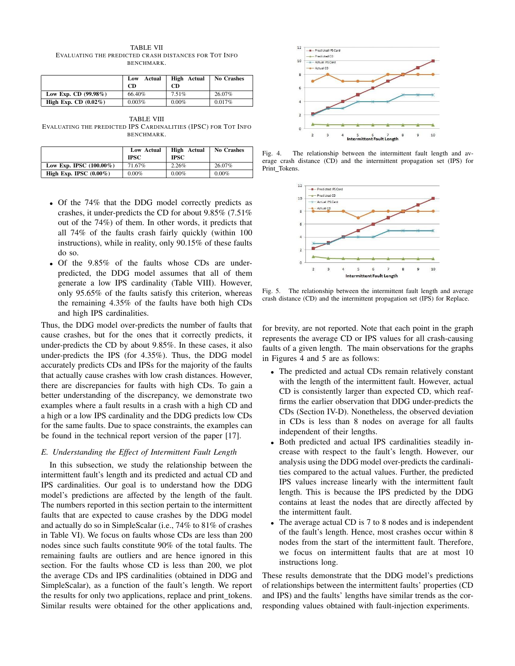TABLE VII EVALUATING THE PREDICTED CRASH DISTANCES FOR TOT INFO BENCHMARK.

|                         | Actual<br>Low<br>CD | <b>High</b> Actual<br>CD | <b>No Crashes</b> |
|-------------------------|---------------------|--------------------------|-------------------|
| Low Exp. CD $(99.98\%)$ | 66.40%              | 7.51%                    | 26.07%            |
| High Exp. CD $(0.02\%)$ | 0.003%              | $0.00\%$                 | 0.017%            |

TABLE VIII EVALUATING THE PREDICTED IPS CARDINALITIES (IPSC) FOR TOT INFO BENCHMARK.

|                            | Low Actual<br><b>IPSC</b> | High Actual<br><b>IPSC</b> | <b>No Crashes</b> |
|----------------------------|---------------------------|----------------------------|-------------------|
| Low Exp. IPSC $(100.00\%)$ | 71.67%                    | 2.26%                      | 26.07%            |
| High Exp. IPSC $(0.00\%)$  | $0.00\%$                  | $0.00\%$                   | $0.00\%$          |

- Of the 74% that the DDG model correctly predicts as crashes, it under-predicts the CD for about 9.85% (7.51% out of the 74%) of them. In other words, it predicts that all 74% of the faults crash fairly quickly (within 100 instructions), while in reality, only 90.15% of these faults do so.
- Of the 9.85% of the faults whose CDs are underpredicted, the DDG model assumes that all of them generate a low IPS cardinality (Table VIII). However, only 95.65% of the faults satisfy this criterion, whereas the remaining 4.35% of the faults have both high CDs and high IPS cardinalities.

Thus, the DDG model over-predicts the number of faults that cause crashes, but for the ones that it correctly predicts, it under-predicts the CD by about 9.85%. In these cases, it also under-predicts the IPS (for 4.35%). Thus, the DDG model accurately predicts CDs and IPSs for the majority of the faults that actually cause crashes with low crash distances. However, there are discrepancies for faults with high CDs. To gain a better understanding of the discrepancy, we demonstrate two examples where a fault results in a crash with a high CD and a high or a low IPS cardinality and the DDG predicts low CDs for the same faults. Due to space constraints, the examples can be found in the technical report version of the paper [17].

# *E. Understanding the Effect of Intermittent Fault Length*

In this subsection, we study the relationship between the intermittent fault's length and its predicted and actual CD and IPS cardinalities. Our goal is to understand how the DDG model's predictions are affected by the length of the fault. The numbers reported in this section pertain to the intermittent faults that are expected to cause crashes by the DDG model and actually do so in SimpleScalar (i.e., 74% to 81% of crashes in Table VI). We focus on faults whose CDs are less than 200 nodes since such faults constitute 90% of the total faults. The remaining faults are outliers and are hence ignored in this section. For the faults whose CD is less than 200, we plot the average CDs and IPS cardinalities (obtained in DDG and SimpleScalar), as a function of the fault's length. We report the results for only two applications, replace and print\_tokens. Similar results were obtained for the other applications and,



Fig. 4. The relationship between the intermittent fault length and average crash distance (CD) and the intermittent propagation set (IPS) for Print\_Tokens.



Fig. 5. The relationship between the intermittent fault length and average crash distance (CD) and the intermittent propagation set (IPS) for Replace.

for brevity, are not reported. Note that each point in the graph represents the average CD or IPS values for all crash-causing faults of a given length. The main observations for the graphs in Figures 4 and 5 are as follows:

- The predicted and actual CDs remain relatively constant with the length of the intermittent fault. However, actual CD is consistently larger than expected CD, which reaffirms the earlier observation that DDG under-predicts the CDs (Section IV-D). Nonetheless, the observed deviation in CDs is less than 8 nodes on average for all faults independent of their lengths.
- Both predicted and actual IPS cardinalities steadily increase with respect to the fault's length. However, our analysis using the DDG model over-predicts the cardinalities compared to the actual values. Further, the predicted IPS values increase linearly with the intermittent fault length. This is because the IPS predicted by the DDG contains at least the nodes that are directly affected by the intermittent fault.
- The average actual CD is 7 to 8 nodes and is independent of the fault's length. Hence, most crashes occur within 8 nodes from the start of the intermittent fault. Therefore, we focus on intermittent faults that are at most 10 instructions long.

These results demonstrate that the DDG model's predictions of relationships between the intermittent faults' properties (CD and IPS) and the faults' lengths have similar trends as the corresponding values obtained with fault-injection experiments.